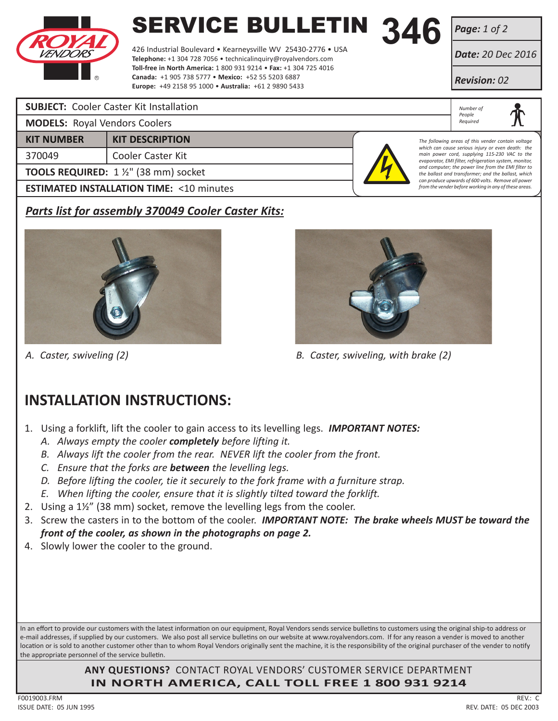

# **SERVICE BULLETIN 346**<br>426 Industrial Boulevard • Kearneysville WV 25430-2776 • USA

426 Industrial Boulevard • Kearneysville WV 25430-2776 • USA **Telephone:** +1 304 728 7056 • technicalinquiry@royalvendors.com **Toll-free in North America:** 1 800 931 9214 • **Fax:** +1 304 725 4016 **Canada:** +1 905 738 5777 • **Mexico:** +52 55 5203 6887 **Europe:** +49 2158 95 1000 • **Australia:** +61 2 9890 5433

*Page: 1 of 2*

*Date: 20 Dec 2016*

*Revision: 02*

*Number of People Required*

*The following areas of this vender contain voltage which can cause serious injury or even death: the main power cord, supplying 115-230 VAC to the evaporator, EMI filter, refrigeration system, monitor, and computer; the power line from the EMI filter to the ballast and transformer; and the ballast, which can produce upwards of 600 volts. Remove all power from the vender before working in any of these areas.*

### **SUBJECT:** Cooler Caster Kit Installation

|  | <b>MODELS: Royal Vendors Coolers</b> |  |
|--|--------------------------------------|--|
|--|--------------------------------------|--|

370049 Cooler Caster Kit

**KIT NUMBER KIT DESCRIPTION**

**TOOLS REQUIRED:** 1 ½" (38 mm) socket

**ESTIMATED INSTALLATION TIME: <10 minutes** 

# *Parts list for assembly 370049 Cooler Caster Kits:*



*A. Caster, swiveling (2) B. Caster, swiveling, with brake (2)*

# **INSTALLATION INSTRUCTIONS:**

1. Using a forklift, lift the cooler to gain access to its levelling legs. *IMPORTANT NOTES:*

- *A. Always empty the cooler completely before lifting it.*
- *B. Always lift the cooler from the rear. NEVER lift the cooler from the front.*
- *C. Ensure that the forks are between the levelling legs.*
- *D. Before lifting the cooler, tie it securely to the fork frame with a furniture strap.*
- *E. When lifting the cooler, ensure that it is slightly tilted toward the forklift.*
- 2. Using a 1½" (38 mm) socket, remove the levelling legs from the cooler.
- 3. Screw the casters in to the bottom of the cooler. *IMPORTANT NOTE: The brake wheels MUST be toward the front of the cooler, as shown in the photographs on page 2.*
- 4. Slowly lower the cooler to the ground.

In an effort to provide our customers with the latest information on our equipment, Royal Vendors sends service bulletins to customers using the original ship-to address or e-mail addresses, if supplied by our customers. We also post all service bulletins on our website at www.royalvendors.com. If for any reason a vender is moved to another location or is sold to another customer other than to whom Royal Vendors originally sent the machine, it is the responsibility of the original purchaser of the vender to notify the appropriate personnel of the service bulletin.

> **ANY QUESTIONS?** CONTACT ROYAL VENDORS' CUSTOMER SERVICE DEPARTMENT **IN NORTH AMERICA, CALL TOLL FREE 1 800 931 9214**